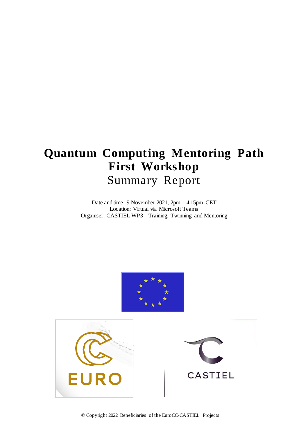# **Quantum Computing Mentoring Path First Workshop** Summary Report

Date and time: 9 November 2021, 2pm – 4:15pm CET Location: Virtual via Microsoft Teams Organiser: CASTIEL WP3 – Training, Twinning and Mentoring



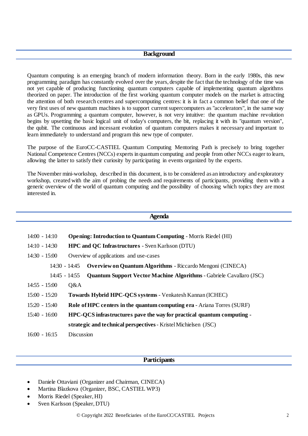#### **Background**

Quantum computing is an emerging branch of modern information theory. Born in the early 1980s, this new programming paradigm has constantly evolved over the years, despite the fact that the technology of the time was not yet capable of producing functioning quantum computers capable of implementing quantum algorithms theorized on paper. The introduction of the first working quantum computer models on the market is attracting the attention of both research centres and supercomputing centres: it is in fact a common belief that one of the very first uses of new quantum machines is to support current supercomputers as "accelerators", in the same way as GPUs. Programming a quantum computer, however, is not very intuitive: the quantum machine revolution begins by upsetting the basic logical unit of today's computers, the bit, replacing it with its "quantum version", the qubit. The continuous and incessant evolution of quantum computers makes it necessary and important to learn immediately to understand and program this new type of computer.

The purpose of the EuroCC-CASTIEL Quantum Computing Mentoring Path is precisely to bring together National Competence Centres (NCCs) experts in quantum computing and people from other NCCs eager to learn, allowing the latter to satisfy their curiosity by participating in events organized by the experts.

The November mini-workshop, described in this document, is to be considered as an introductory and exploratory workshop, created with the aim of probing the needs and requirements of participants, providing them with a generic overview of the world of quantum computing and the possibility of choosing which topics they are most interested in.

| <b>Agenda</b>                                                                                |                                                                                    |
|----------------------------------------------------------------------------------------------|------------------------------------------------------------------------------------|
|                                                                                              |                                                                                    |
| 14:00 - 14:10                                                                                | <b>Opening: Introduction to Quantum Computing - Morris Riedel (HI)</b>             |
| $14:10 - 14:30$                                                                              | <b>HPC and QC Infrastructures - Sven Karlsson (DTU)</b>                            |
| $14:30 - 15:00$                                                                              | Overview of applications and use-cases                                             |
|                                                                                              | <b>Overview on Quantum Algorithms</b> - Riccardo Mengoni (CINECA)<br>14:30 - 14:45 |
| <b>Quantum Support Vector Machine Algorithms - Gabriele Cavallaro (JSC)</b><br>14:45 - 14:55 |                                                                                    |
| $14:55 - 15:00$                                                                              | Q&A                                                                                |
| $15:00 - 15:20$                                                                              | Towards Hybrid HPC-QCS systems - Venkatesh Kannan (ICHEC)                          |
| 15:20 - 15:40                                                                                | <b>Role of HPC centers in the quantum computing era - Ariana Torres (SURF)</b>     |
| $15:40 - 16:00$                                                                              | HPC-QCS infrastructures pave the way for practical quantum computing -             |
|                                                                                              | strategic and technical perspectives - Kristel Michielsen (JSC)                    |
| $16:00 - 16:15$                                                                              | <b>Discussion</b>                                                                  |
|                                                                                              |                                                                                    |

## **Participants**

- Daniele Ottaviani (Organizer and Chairman, CINECA)
- Martina Blazkova (Organizer, BSC, CASTIEL WP3)
- Morris Riedel (Speaker, HI)
- Sven Karlsson (Speaker, DTU)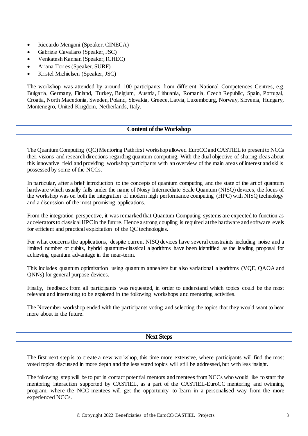- Riccardo Mengoni (Speaker, CINECA)
- Gabriele Cavallaro (Speaker, JSC)
- Venkatesh Kannan (Speaker, ICHEC)
- Ariana Torres (Speaker, SURF)
- Kristel Michielsen (Speaker, JSC)

The workshop was attended by around 100 participants from different National Competences Centres, e.g. Bulgaria, Germany, Finland, Turkey, Belgium, Austria, Lithuania, Romania, Czech Republic, Spain, Portugal, Croatia, North Macedonia, Sweden, Poland, Slovakia, Greece, Latvia, Luxembourg, Norway, Slovenia, Hungary, Montenegro, United Kingdom, Netherlands, Italy.

## **Content of the Workshop**

The Quantum Computing (QC) Mentoring Path first workshop allowed EuroCC and CASTIEL to present to NCCs their visions and research directions regarding quantum computing. With the dual objective of sharing ideas about this innovative field and providing workshop participants with an overview of the main areas of interest and skills possessed by some of the NCCs.

In particular, after a brief introduction to the concepts of quantum computing and the state of the art of quantum hardware which usually falls under the name of Noisy Intermediate Scale Quantum (NISQ) devices, the focus of the workshop was on both the integration of modern high performance computing (HPC) with NISQ technology and a discussion of the most promising applications.

From the integration perspective, it was remarked that Quantum Computing systems are expected to function as accelerators to classical HPC in the future. Hence a strong coupling is required at the hardware and software levels for efficient and practical exploitation of the QC technologies.

For what concerns the applications, despite current NISQ devices have several constraints including noise and a limited number of qubits, hybrid quantum-classical algorithms have been identified as the leading proposal for achieving quantum advantage in the near-term.

This includes quantum optimization using quantum annealers but also variational algorithms (VQE, QAOA and QNNs) for general purpose devices.

Finally, feedback from all participants was requested, in order to understand which topics could be the most relevant and interesting to be explored in the following workshops and mentoring activities.

The November workshop ended with the participants voting and selecting the topics that they would want to hear more about in the future.

#### **Next Steps**

The first next step is to create a new workshop, this time more extensive, where participants will find the most voted topics discussed in more depth and the less voted topics will still be addressed, but with less insight.

The following step will be to put in contact potential mentors and mentees from NCCs who would like to start the mentoring interaction supported by CASTIEL, as a part of the CASTIEL-EuroCC mentoring and twinning program, where the NCC mentees will get the opportunity to learn in a personalised way from the more experienced NCCs.